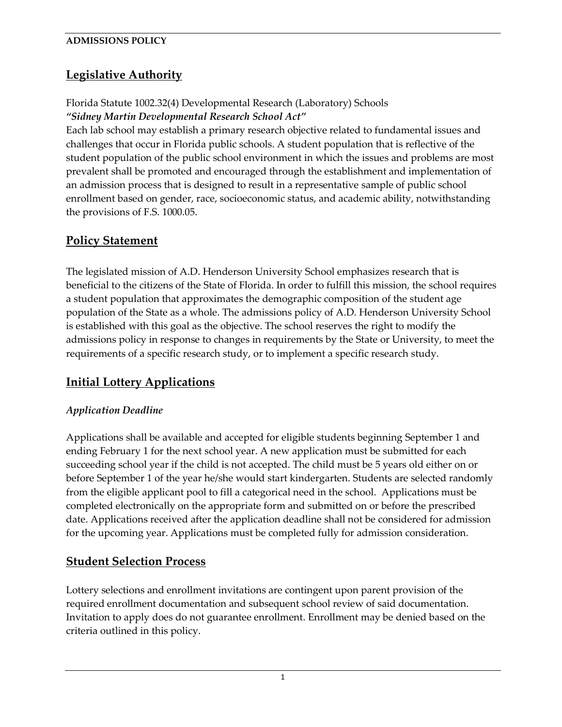# **Legislative Authority**

## Florida Statute 1002.32(4) Developmental Research (Laboratory) Schools *"Sidney Martin Developmental Research School Act"*

Each lab school may establish a primary research objective related to fundamental issues and challenges that occur in Florida public schools. A student population that is reflective of the student population of the public school environment in which the issues and problems are most prevalent shall be promoted and encouraged through the establishment and implementation of an admission process that is designed to result in a representative sample of public school enrollment based on gender, race, socioeconomic status, and academic ability, notwithstanding the provisions of F.S. [1000.05.](http://www.leg.state.fl.us/Statutes/index.cfm?App_mode=Display_Statute&Search_String=&URL=1000-1099/1000/Sections/1000.05.html)

# **Policy Statement**

The legislated mission of A.D. Henderson University School emphasizes research that is beneficial to the citizens of the State of Florida. In order to fulfill this mission, the school requires a student population that approximates the demographic composition of the student age population of the State as a whole. The admissions policy of A.D. Henderson University School is established with this goal as the objective. The school reserves the right to modify the admissions policy in response to changes in requirements by the State or University, to meet the requirements of a specific research study, or to implement a specific research study.

# **Initial Lottery Applications**

## *Application Deadline*

Applications shall be available and accepted for eligible students beginning September 1 and ending February 1 for the next school year. A new application must be submitted for each succeeding school year if the child is not accepted. The child must be 5 years old either on or before September 1 of the year he/she would start kindergarten. Students are selected randomly from the eligible applicant pool to fill a categorical need in the school. Applications must be completed electronically on the appropriate form and submitted on or before the prescribed date. Applications received after the application deadline shall not be considered for admission for the upcoming year. Applications must be completed fully for admission consideration.

## **Student Selection Process**

Lottery selections and enrollment invitations are contingent upon parent provision of the required enrollment documentation and subsequent school review of said documentation. Invitation to apply does do not guarantee enrollment. Enrollment may be denied based on the criteria outlined in this policy.

1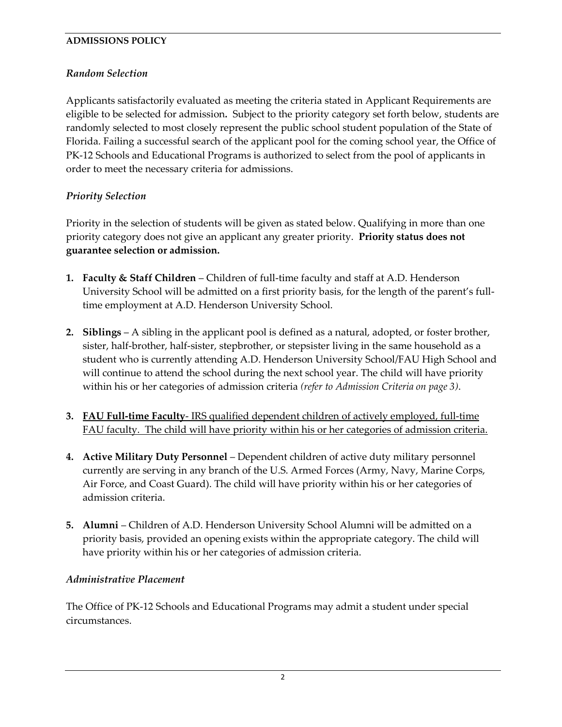### *Random Selection*

Applicants satisfactorily evaluated as meeting the criteria stated in Applicant Requirements are eligible to be selected for admission*.* Subject to the priority category set forth below, students are randomly selected to most closely represent the public school student population of the State of Florida. Failing a successful search of the applicant pool for the coming school year, the Office of PK-12 Schools and Educational Programs is authorized to select from the pool of applicants in order to meet the necessary criteria for admissions.

## *Priority Selection*

Priority in the selection of students will be given as stated below. Qualifying in more than one priority category does not give an applicant any greater priority. **Priority status does not guarantee selection or admission.**

- **1. Faculty & Staff Children** Children of full-time faculty and staff at A.D. Henderson University School will be admitted on a first priority basis, for the length of the parent's fulltime employment at A.D. Henderson University School.
- **2. Siblings** A sibling in the applicant pool is defined as a natural, adopted, or foster brother, sister, half-brother, half-sister, stepbrother, or stepsister living in the same household as a student who is currently attending A.D. Henderson University School/FAU High School and will continue to attend the school during the next school year. The child will have priority within his or her categories of admission criteria *(refer to Admission Criteria on page 3)*.
- **3. FAU Full-time Faculty** IRS qualified dependent children of actively employed, full-time FAU faculty. The child will have priority within his or her categories of admission criteria.
- **4. Active Military Duty Personnel** Dependent children of active duty military personnel currently are serving in any branch of the U.S. Armed Forces (Army, Navy, Marine Corps, Air Force, and Coast Guard). The child will have priority within his or her categories of admission criteria.
- **5. Alumni** Children of A.D. Henderson University School Alumni will be admitted on a priority basis, provided an opening exists within the appropriate category. The child will have priority within his or her categories of admission criteria.

#### *Administrative Placement*

The Office of PK-12 Schools and Educational Programs may admit a student under special circumstances.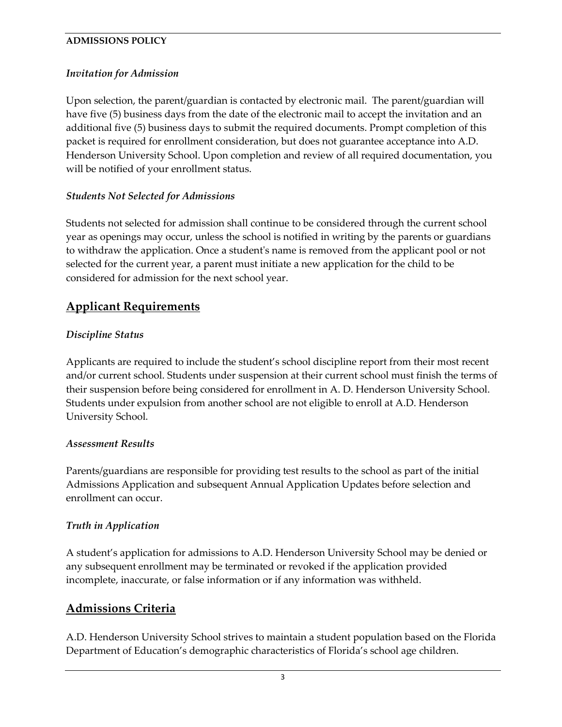### *Invitation for Admission*

Upon selection, the parent/guardian is contacted by electronic mail. The parent/guardian will have five (5) business days from the date of the electronic mail to accept the invitation and an additional five (5) business days to submit the required documents. Prompt completion of this packet is required for enrollment consideration, but does not guarantee acceptance into A.D. Henderson University School. Upon completion and review of all required documentation, you will be notified of your enrollment status.

#### *Students Not Selected for Admissions*

Students not selected for admission shall continue to be considered through the current school year as openings may occur, unless the school is notified in writing by the parents or guardians to withdraw the application. Once a student's name is removed from the applicant pool or not selected for the current year, a parent must initiate a new application for the child to be considered for admission for the next school year.

## **Applicant Requirements**

#### *Discipline Status*

Applicants are required to include the student's school discipline report from their most recent and/or current school. Students under suspension at their current school must finish the terms of their suspension before being considered for enrollment in A. D. Henderson University School. Students under expulsion from another school are not eligible to enroll at A.D. Henderson University School.

#### *Assessment Results*

Parents/guardians are responsible for providing test results to the school as part of the initial Admissions Application and subsequent Annual Application Updates before selection and enrollment can occur.

#### *Truth in Application*

A student's application for admissions to A.D. Henderson University School may be denied or any subsequent enrollment may be terminated or revoked if the application provided incomplete, inaccurate, or false information or if any information was withheld.

## **Admissions Criteria**

A.D. Henderson University School strives to maintain a student population based on the Florida Department of Education's demographic characteristics of Florida's school age children.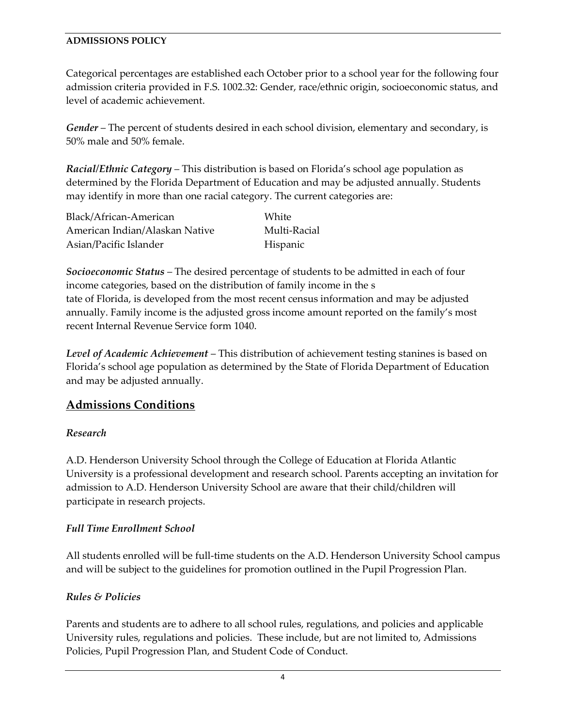Categorical percentages are established each October prior to a school year for the following four admission criteria provided in F.S. 1002.32: Gender, race/ethnic origin, socioeconomic status, and level of academic achievement.

*Gender* – The percent of students desired in each school division, elementary and secondary, is 50% male and 50% female.

*Racial/Ethnic Category* – This distribution is based on Florida's school age population as determined by the Florida Department of Education and may be adjusted annually. Students may identify in more than one racial category. The current categories are:

| Black/African-American         | White        |
|--------------------------------|--------------|
| American Indian/Alaskan Native | Multi-Racial |
| Asian/Pacific Islander         | Hispanic     |

*Socioeconomic Status* – The desired percentage of students to be admitted in each of four income categories, based on the distribution of family income in the s tate of Florida, is developed from the most recent census information and may be adjusted annually. Family income is the adjusted gross income amount reported on the family's most recent Internal Revenue Service form 1040.

*Level of Academic Achievement* – This distribution of achievement testing stanines is based on Florida's school age population as determined by the State of Florida Department of Education and may be adjusted annually.

## **Admissions Conditions**

#### *Research*

A.D. Henderson University School through the College of Education at Florida Atlantic University is a professional development and research school. Parents accepting an invitation for admission to A.D. Henderson University School are aware that their child/children will participate in research projects.

## *Full Time Enrollment School*

All students enrolled will be full-time students on the A.D. Henderson University School campus and will be subject to the guidelines for promotion outlined in the Pupil Progression Plan.

## *Rules & Policies*

Parents and students are to adhere to all school rules, regulations, and policies and applicable University rules, regulations and policies. These include, but are not limited to, Admissions Policies, Pupil Progression Plan, and Student Code of Conduct.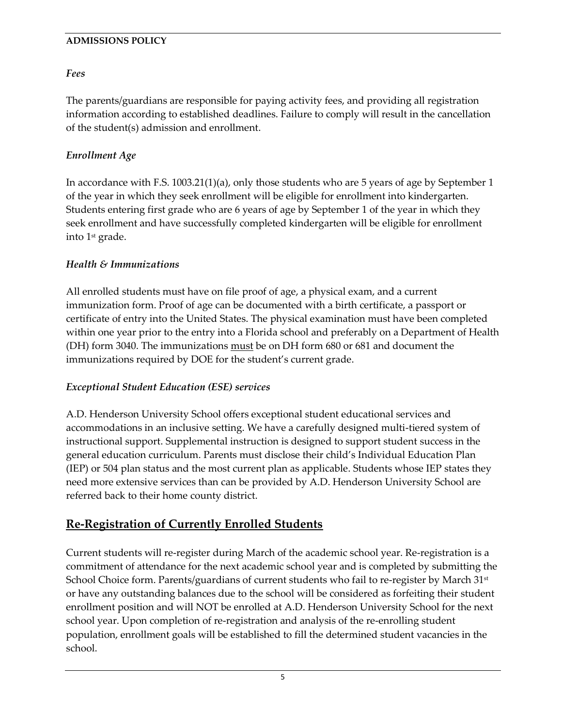### *Fees*

The parents/guardians are responsible for paying activity fees, and providing all registration information according to established deadlines. Failure to comply will result in the cancellation of the student(s) admission and enrollment.

### *Enrollment Age*

In accordance with F.S. 1003.21(1)(a), only those students who are 5 years of age by September 1 of the year in which they seek enrollment will be eligible for enrollment into kindergarten. Students entering first grade who are 6 years of age by September 1 of the year in which they seek enrollment and have successfully completed kindergarten will be eligible for enrollment into 1st grade.

### *Health & Immunizations*

All enrolled students must have on file proof of age, a physical exam, and a current immunization form. Proof of age can be documented with a birth certificate, a passport or certificate of entry into the United States. The physical examination must have been completed within one year prior to the entry into a Florida school and preferably on a Department of Health (DH) form 3040. The immunizations must be on DH form 680 or 681 and document the immunizations required by DOE for the student's current grade.

#### *Exceptional Student Education (ESE) services*

A.D. Henderson University School offers exceptional student educational services and accommodations in an inclusive setting. We have a carefully designed multi-tiered system of instructional support. Supplemental instruction is designed to support student success in the general education curriculum. Parents must disclose their child's Individual Education Plan (IEP) or 504 plan status and the most current plan as applicable. Students whose IEP states they need more extensive services than can be provided by A.D. Henderson University School are referred back to their home county district.

## **Re-Registration of Currently Enrolled Students**

Current students will re-register during March of the academic school year. Re-registration is a commitment of attendance for the next academic school year and is completed by submitting the School Choice form. Parents/guardians of current students who fail to re-register by March 31<sup>st</sup> or have any outstanding balances due to the school will be considered as forfeiting their student enrollment position and will NOT be enrolled at A.D. Henderson University School for the next school year. Upon completion of re-registration and analysis of the re-enrolling student population, enrollment goals will be established to fill the determined student vacancies in the school.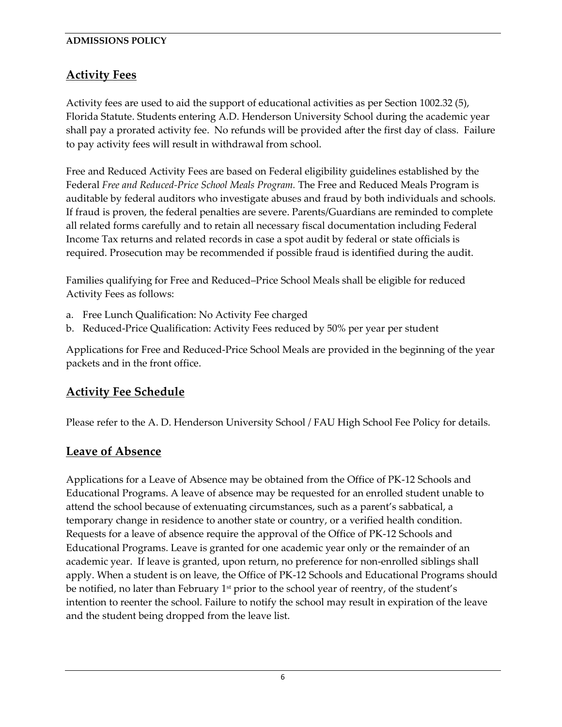# **Activity Fees**

Activity fees are used to aid the support of educational activities as per Section 1002.32 (5), Florida Statute. Students entering A.D. Henderson University School during the academic year shall pay a prorated activity fee. No refunds will be provided after the first day of class. Failure to pay activity fees will result in withdrawal from school.

Free and Reduced Activity Fees are based on Federal eligibility guidelines established by the Federal *Free and Reduced-Price School Meals Program.* The Free and Reduced Meals Program is auditable by federal auditors who investigate abuses and fraud by both individuals and schools. If fraud is proven, the federal penalties are severe. Parents/Guardians are reminded to complete all related forms carefully and to retain all necessary fiscal documentation including Federal Income Tax returns and related records in case a spot audit by federal or state officials is required. Prosecution may be recommended if possible fraud is identified during the audit.

Families qualifying for Free and Reduced–Price School Meals shall be eligible for reduced Activity Fees as follows:

- a. Free Lunch Qualification: No Activity Fee charged
- b. Reduced-Price Qualification: Activity Fees reduced by 50% per year per student

Applications for Free and Reduced-Price School Meals are provided in the beginning of the year packets and in the front office.

# **Activity Fee Schedule**

Please refer to the A. D. Henderson University School / FAU High School Fee Policy for details.

## **Leave of Absence**

Applications for a Leave of Absence may be obtained from the Office of PK-12 Schools and Educational Programs. A leave of absence may be requested for an enrolled student unable to attend the school because of extenuating circumstances, such as a parent's sabbatical, a temporary change in residence to another state or country, or a verified health condition. Requests for a leave of absence require the approval of the Office of PK-12 Schools and Educational Programs. Leave is granted for one academic year only or the remainder of an academic year. If leave is granted, upon return, no preference for non-enrolled siblings shall apply. When a student is on leave, the Office of PK-12 Schools and Educational Programs should be notified, no later than February  $1<sup>st</sup>$  prior to the school year of reentry, of the student's intention to reenter the school. Failure to notify the school may result in expiration of the leave and the student being dropped from the leave list.